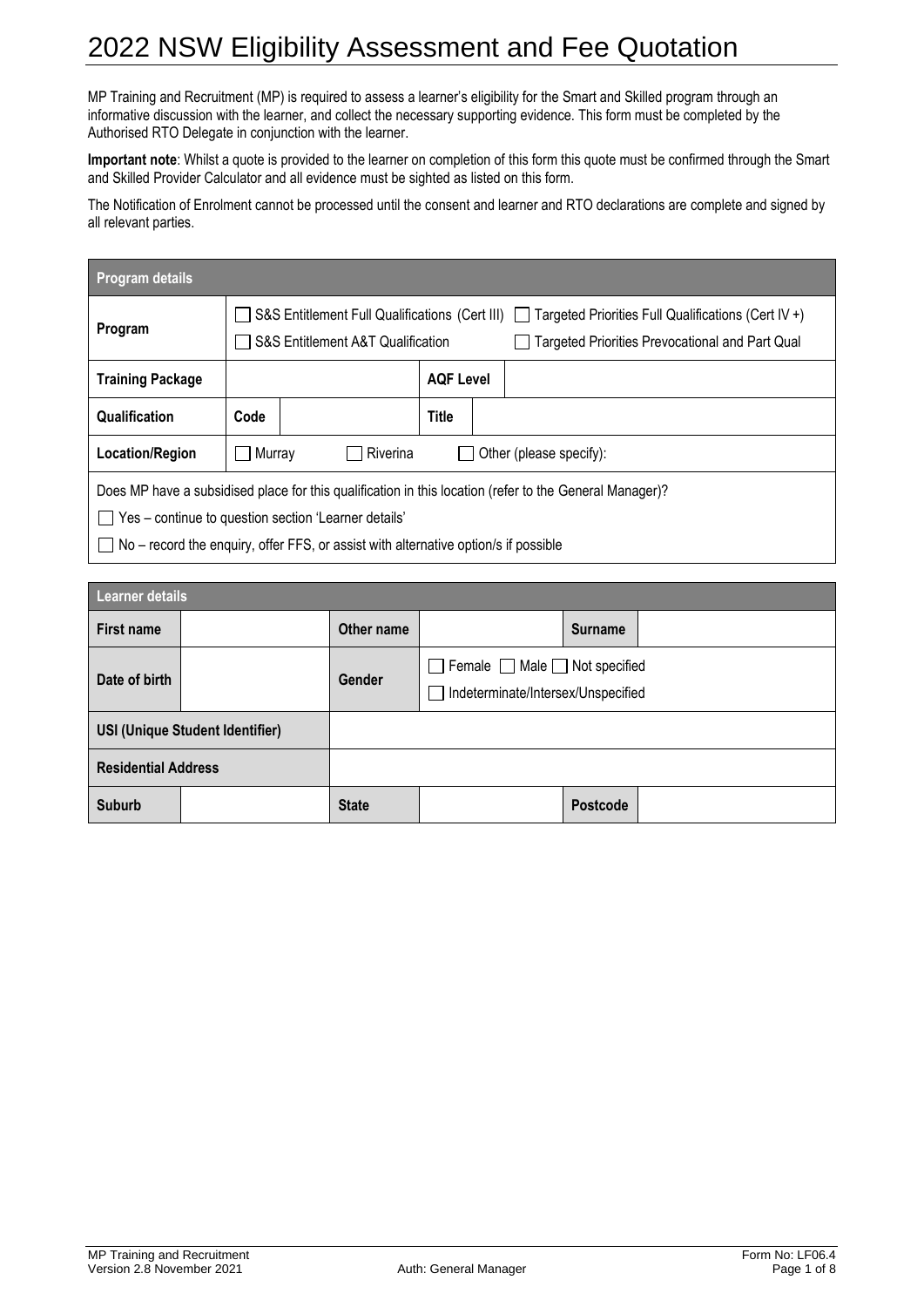MP Training and Recruitment (MP) is required to assess a learner's eligibility for the Smart and Skilled program through an informative discussion with the learner, and collect the necessary supporting evidence. This form must be completed by the Authorised RTO Delegate in conjunction with the learner.

**Important note**: Whilst a quote is provided to the learner on completion of this form this quote must be confirmed through the Smart and Skilled Provider Calculator and all evidence must be sighted as listed on this form.

The Notification of Enrolment cannot be processed until the consent and learner and RTO declarations are complete and signed by all relevant parties.

| Program details                                                                                                                                                                                                                                               |                      |                                                                                                                                                                                                             |  |  |  |  |  |
|---------------------------------------------------------------------------------------------------------------------------------------------------------------------------------------------------------------------------------------------------------------|----------------------|-------------------------------------------------------------------------------------------------------------------------------------------------------------------------------------------------------------|--|--|--|--|--|
| Program                                                                                                                                                                                                                                                       |                      | S&S Entitlement Full Qualifications (Cert III) $\vert$   Targeted Priorities Full Qualifications (Cert IV +)<br>S&S Entitlement A&T Qualification<br><b>Targeted Priorities Prevocational and Part Qual</b> |  |  |  |  |  |
| <b>Training Package</b>                                                                                                                                                                                                                                       | <b>AQF Level</b>     |                                                                                                                                                                                                             |  |  |  |  |  |
| Qualification                                                                                                                                                                                                                                                 | <b>Title</b><br>Code |                                                                                                                                                                                                             |  |  |  |  |  |
| Location/Region                                                                                                                                                                                                                                               |                      | Riverina<br>Murray<br>Other (please specify):                                                                                                                                                               |  |  |  |  |  |
| Does MP have a subsidised place for this qualification in this location (refer to the General Manager)?<br>Yes - continue to question section 'Learner details'<br>$\Box$ No – record the enquiry, offer FFS, or assist with alternative option/s if possible |                      |                                                                                                                                                                                                             |  |  |  |  |  |

| <b>Learner details</b>                 |  |              |                                                                                      |                |  |  |  |
|----------------------------------------|--|--------------|--------------------------------------------------------------------------------------|----------------|--|--|--|
| First name                             |  | Other name   |                                                                                      | <b>Surname</b> |  |  |  |
| Date of birth                          |  | Gender       | $\Box$ Female $\Box$ Male $\Box$ Not specified<br>Indeterminate/Intersex/Unspecified |                |  |  |  |
| <b>USI (Unique Student Identifier)</b> |  |              |                                                                                      |                |  |  |  |
| <b>Residential Address</b>             |  |              |                                                                                      |                |  |  |  |
| <b>Suburb</b>                          |  | <b>State</b> |                                                                                      | Postcode       |  |  |  |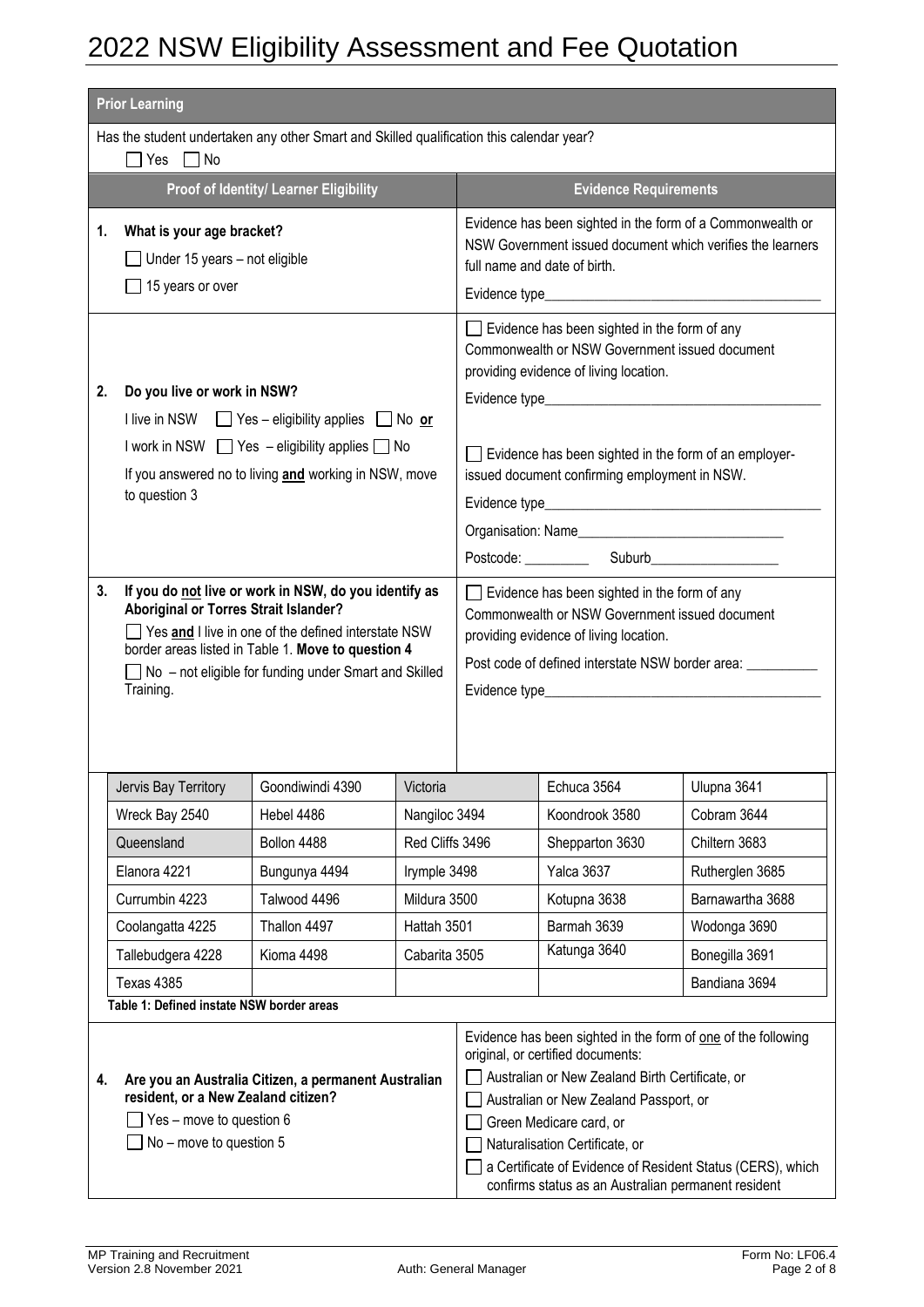|          | <b>Prior Learning</b>                                                                                                                                                                                                                                                                                                                                                                                                                                                                                    |                                        |                 |  |                                                                                                                                                                                                                                                                                                                                                                                                                                                                                    |                                                                                                                          |  |  |
|----------|----------------------------------------------------------------------------------------------------------------------------------------------------------------------------------------------------------------------------------------------------------------------------------------------------------------------------------------------------------------------------------------------------------------------------------------------------------------------------------------------------------|----------------------------------------|-----------------|--|------------------------------------------------------------------------------------------------------------------------------------------------------------------------------------------------------------------------------------------------------------------------------------------------------------------------------------------------------------------------------------------------------------------------------------------------------------------------------------|--------------------------------------------------------------------------------------------------------------------------|--|--|
|          | Has the student undertaken any other Smart and Skilled qualification this calendar year?<br>⊣Yes ∏No                                                                                                                                                                                                                                                                                                                                                                                                     |                                        |                 |  |                                                                                                                                                                                                                                                                                                                                                                                                                                                                                    |                                                                                                                          |  |  |
|          |                                                                                                                                                                                                                                                                                                                                                                                                                                                                                                          | Proof of Identity/ Learner Eligibility |                 |  | <b>Evidence Requirements</b>                                                                                                                                                                                                                                                                                                                                                                                                                                                       |                                                                                                                          |  |  |
| 1.       | What is your age bracket?<br>Under 15 years - not eligible<br>15 years or over                                                                                                                                                                                                                                                                                                                                                                                                                           |                                        |                 |  | full name and date of birth.                                                                                                                                                                                                                                                                                                                                                                                                                                                       | Evidence has been sighted in the form of a Commonwealth or<br>NSW Government issued document which verifies the learners |  |  |
| 2.<br>3. | Do you live or work in NSW?<br>I live in NSW $\Box$ Yes – eligibility applies $\Box$ No or<br>I work in NSW $\Box$ Yes - eligibility applies $\Box$ No<br>If you answered no to living and working in NSW, move<br>to question 3<br>If you do not live or work in NSW, do you identify as<br>Aboriginal or Torres Strait Islander?<br>Yes and I live in one of the defined interstate NSW<br>border areas listed in Table 1. Move to question 4<br>No - not eligible for funding under Smart and Skilled |                                        |                 |  | $\Box$ Evidence has been sighted in the form of any<br>Commonwealth or NSW Government issued document<br>providing evidence of living location.<br>$\Box$ Evidence has been sighted in the form of an employer-<br>issued document confirming employment in NSW.<br>$\Box$ Evidence has been sighted in the form of any<br>Commonwealth or NSW Government issued document<br>providing evidence of living location.<br>Post code of defined interstate NSW border area: __________ |                                                                                                                          |  |  |
|          |                                                                                                                                                                                                                                                                                                                                                                                                                                                                                                          |                                        |                 |  |                                                                                                                                                                                                                                                                                                                                                                                                                                                                                    |                                                                                                                          |  |  |
|          | Jervis Bay Territory                                                                                                                                                                                                                                                                                                                                                                                                                                                                                     | Goondiwindi 4390                       | Victoria        |  | Echuca 3564                                                                                                                                                                                                                                                                                                                                                                                                                                                                        | Ulupna 3641                                                                                                              |  |  |
|          | Wreck Bay 2540                                                                                                                                                                                                                                                                                                                                                                                                                                                                                           | Hebel 4486                             | Nangiloc 3494   |  | Koondrook 3580                                                                                                                                                                                                                                                                                                                                                                                                                                                                     | Cobram 3644                                                                                                              |  |  |
|          | Queensland                                                                                                                                                                                                                                                                                                                                                                                                                                                                                               | Bollon 4488                            | Red Cliffs 3496 |  | Shepparton 3630                                                                                                                                                                                                                                                                                                                                                                                                                                                                    | Chiltern 3683                                                                                                            |  |  |
|          | Elanora 4221                                                                                                                                                                                                                                                                                                                                                                                                                                                                                             | Bungunya 4494                          | Irymple 3498    |  | Yalca 3637                                                                                                                                                                                                                                                                                                                                                                                                                                                                         | Rutherglen 3685                                                                                                          |  |  |
|          | Currumbin 4223                                                                                                                                                                                                                                                                                                                                                                                                                                                                                           | Talwood 4496                           | Mildura 3500    |  | Kotupna 3638                                                                                                                                                                                                                                                                                                                                                                                                                                                                       | Barnawartha 3688                                                                                                         |  |  |
|          | Coolangatta 4225                                                                                                                                                                                                                                                                                                                                                                                                                                                                                         | Thallon 4497                           | Hattah 3501     |  | Barmah 3639                                                                                                                                                                                                                                                                                                                                                                                                                                                                        | Wodonga 3690                                                                                                             |  |  |
|          | Tallebudgera 4228                                                                                                                                                                                                                                                                                                                                                                                                                                                                                        | Kioma 4498                             | Cabarita 3505   |  | Katunga 3640                                                                                                                                                                                                                                                                                                                                                                                                                                                                       | Bonegilla 3691                                                                                                           |  |  |
|          | Texas 4385                                                                                                                                                                                                                                                                                                                                                                                                                                                                                               |                                        |                 |  |                                                                                                                                                                                                                                                                                                                                                                                                                                                                                    | Bandiana 3694                                                                                                            |  |  |
|          | Table 1: Defined instate NSW border areas                                                                                                                                                                                                                                                                                                                                                                                                                                                                |                                        |                 |  |                                                                                                                                                                                                                                                                                                                                                                                                                                                                                    |                                                                                                                          |  |  |
| 4.       | Are you an Australia Citizen, a permanent Australian<br>resident, or a New Zealand citizen?<br>Yes - move to question 6<br>No - move to question 5                                                                                                                                                                                                                                                                                                                                                       |                                        |                 |  | Evidence has been sighted in the form of one of the following<br>original, or certified documents:<br>Australian or New Zealand Birth Certificate, or<br>Australian or New Zealand Passport, or<br>Green Medicare card, or<br>Naturalisation Certificate, or<br>a Certificate of Evidence of Resident Status (CERS), which<br>confirms status as an Australian permanent resident                                                                                                  |                                                                                                                          |  |  |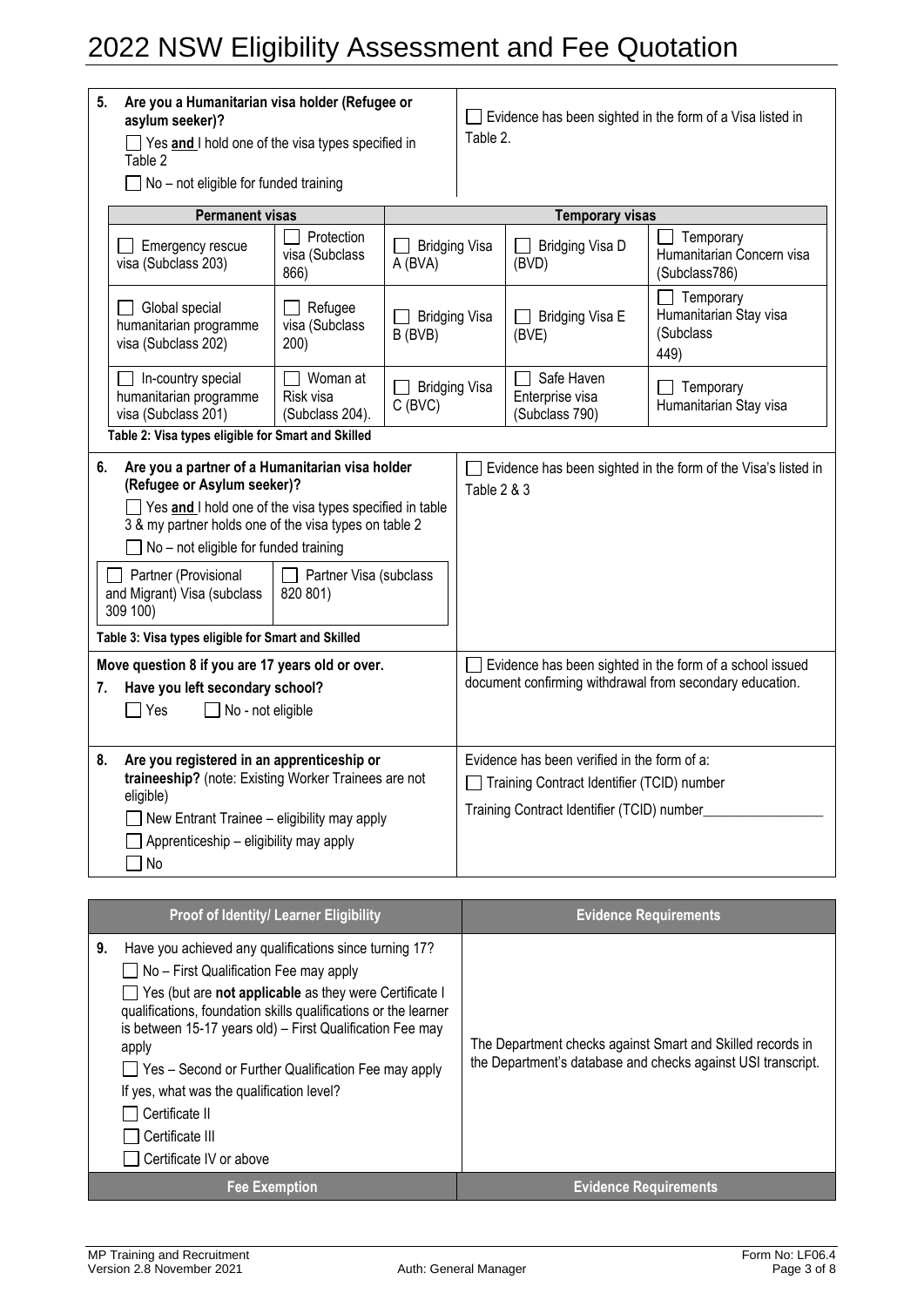| Are you a Humanitarian visa holder (Refugee or<br>5.<br>asylum seeker)?<br>$\Box$ Yes and I hold one of the visa types specified in<br>Table 2<br>$\Box$ No – not eligible for funded training                                                                                                                    |                                                                                                                                                      |                                      |                                 | $\Box$ Evidence has been sighted in the form of a Visa listed in<br>Table 2.                                                             |                                                                                                                             |                                                          |  |
|-------------------------------------------------------------------------------------------------------------------------------------------------------------------------------------------------------------------------------------------------------------------------------------------------------------------|------------------------------------------------------------------------------------------------------------------------------------------------------|--------------------------------------|---------------------------------|------------------------------------------------------------------------------------------------------------------------------------------|-----------------------------------------------------------------------------------------------------------------------------|----------------------------------------------------------|--|
|                                                                                                                                                                                                                                                                                                                   | <b>Permanent visas</b>                                                                                                                               |                                      |                                 |                                                                                                                                          | <b>Temporary visas</b>                                                                                                      |                                                          |  |
| Emergency rescue<br>visa (Subclass 203)                                                                                                                                                                                                                                                                           |                                                                                                                                                      | Protection<br>visa (Subclass<br>866) | <b>Bridging Visa</b><br>A (BVA) | Temporary<br>Bridging Visa D<br>(BVD)<br>(Subclass786)                                                                                   |                                                                                                                             | Humanitarian Concern visa                                |  |
| Global special<br>humanitarian programme<br>visa (Subclass 202)                                                                                                                                                                                                                                                   |                                                                                                                                                      | Refugee<br>visa (Subclass<br>200)    | <b>Bridging Visa</b><br>B (BVB) |                                                                                                                                          | Bridging Visa E<br>(BVE)                                                                                                    | Temporary<br>Humanitarian Stay visa<br>(Subclass<br>449) |  |
|                                                                                                                                                                                                                                                                                                                   | In-country special<br>Woman at<br><b>Bridging Visa</b><br>humanitarian programme<br>Risk visa<br>$C$ (BVC)<br>visa (Subclass 201)<br>(Subclass 204). |                                      |                                 | Safe Haven<br>Enterprise visa<br>(Subclass 790)                                                                                          | Temporary<br>Humanitarian Stay visa                                                                                         |                                                          |  |
| Table 2: Visa types eligible for Smart and Skilled                                                                                                                                                                                                                                                                |                                                                                                                                                      |                                      |                                 |                                                                                                                                          |                                                                                                                             |                                                          |  |
| Are you a partner of a Humanitarian visa holder<br>6.<br>(Refugee or Asylum seeker)?<br>$\Box$ Yes and I hold one of the visa types specified in table<br>3 & my partner holds one of the visa types on table 2<br>$\Box$ No – not eligible for funded training<br>Partner (Provisional<br>Partner Visa (subclass |                                                                                                                                                      |                                      | Table 2 & 3                     |                                                                                                                                          | Evidence has been sighted in the form of the Visa's listed in                                                               |                                                          |  |
| and Migrant) Visa (subclass<br>309 100)                                                                                                                                                                                                                                                                           |                                                                                                                                                      | 820 801)                             |                                 |                                                                                                                                          |                                                                                                                             |                                                          |  |
| Table 3: Visa types eligible for Smart and Skilled                                                                                                                                                                                                                                                                |                                                                                                                                                      |                                      |                                 |                                                                                                                                          |                                                                                                                             |                                                          |  |
| Move question 8 if you are 17 years old or over.<br>Have you left secondary school?<br>7.<br>$\sqsupset$ Yes<br>$\Box$ No - not eligible                                                                                                                                                                          |                                                                                                                                                      |                                      |                                 |                                                                                                                                          | $\Box$ Evidence has been sighted in the form of a school issued<br>document confirming withdrawal from secondary education. |                                                          |  |
| Are you registered in an apprenticeship or<br>8.<br>traineeship? (note: Existing Worker Trainees are not<br>eligible)<br>$\Box$ New Entrant Trainee – eligibility may apply<br>Apprenticeship – eligibility may apply<br>] No                                                                                     |                                                                                                                                                      |                                      |                                 | Evidence has been verified in the form of a:<br>Training Contract Identifier (TCID) number<br>Training Contract Identifier (TCID) number |                                                                                                                             |                                                          |  |

| <b>Proof of Identity/ Learner Eligibility</b>                                                                                                                                                                                                                                                                                                                                                                                                                                        | <b>Evidence Requirements</b>                                                                                               |
|--------------------------------------------------------------------------------------------------------------------------------------------------------------------------------------------------------------------------------------------------------------------------------------------------------------------------------------------------------------------------------------------------------------------------------------------------------------------------------------|----------------------------------------------------------------------------------------------------------------------------|
| Have you achieved any qualifications since turning 17?<br>9.<br>$\Box$ No – First Qualification Fee may apply<br>Yes (but are not applicable as they were Certificate I<br>qualifications, foundation skills qualifications or the learner<br>is between 15-17 years old) - First Qualification Fee may<br>apply<br>Yes - Second or Further Qualification Fee may apply<br>If yes, what was the qualification level?<br>Certificate II<br>Certificate III<br>Certificate IV or above | The Department checks against Smart and Skilled records in<br>the Department's database and checks against USI transcript. |
| <b>Fee Exemption</b>                                                                                                                                                                                                                                                                                                                                                                                                                                                                 | <b>Evidence Requirements</b>                                                                                               |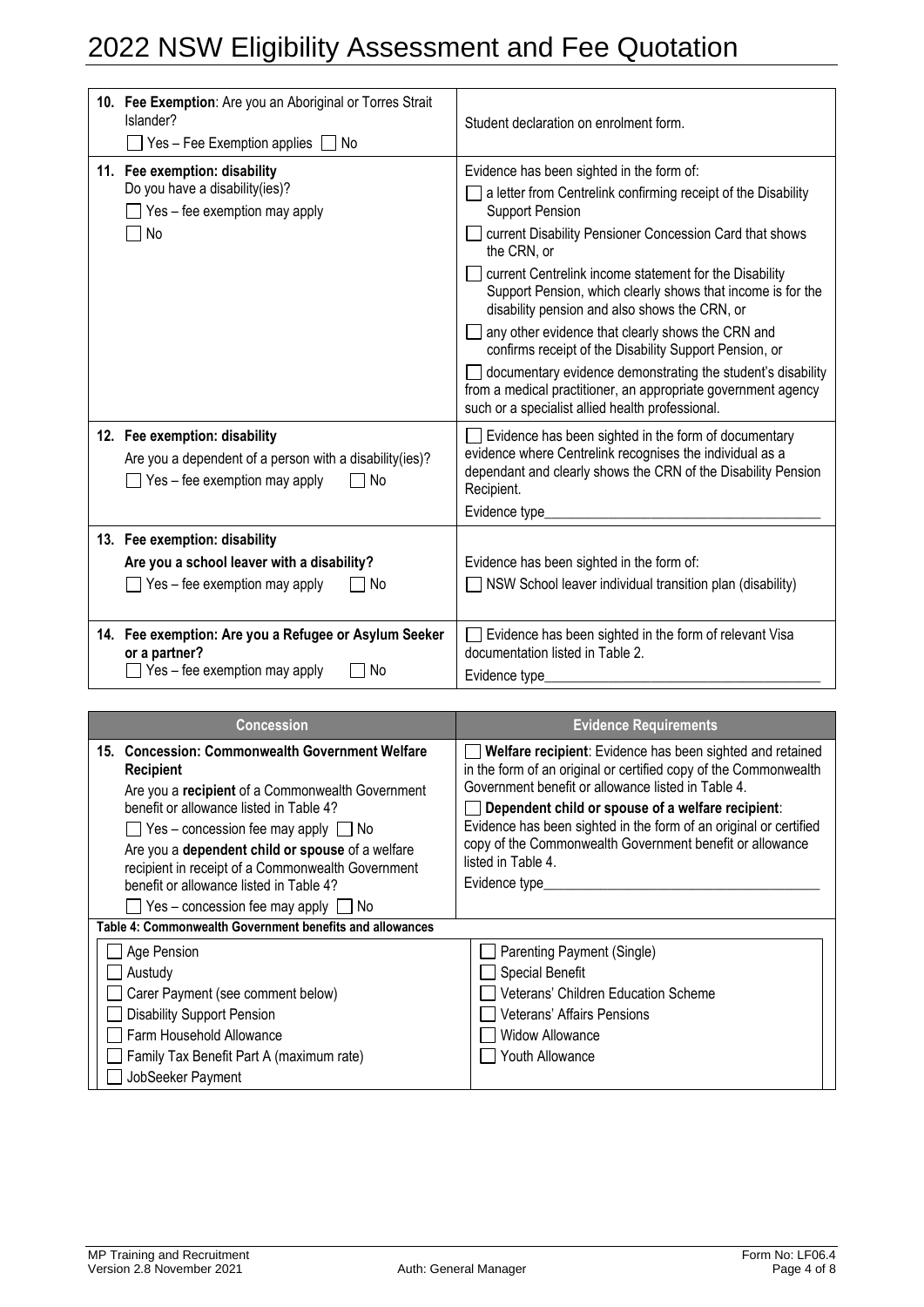| 10. Fee Exemption: Are you an Aboriginal or Torres Strait<br>Islander?<br>Yes – Fee Exemption applies $\Box$ No                          | Student declaration on enrolment form.                                                                                                                                                                                                                                                                                                                                                                                                                                                                                                                                 |
|------------------------------------------------------------------------------------------------------------------------------------------|------------------------------------------------------------------------------------------------------------------------------------------------------------------------------------------------------------------------------------------------------------------------------------------------------------------------------------------------------------------------------------------------------------------------------------------------------------------------------------------------------------------------------------------------------------------------|
| 11. Fee exemption: disability<br>Do you have a disability(ies)?<br>$\Box$ Yes – fee exemption may apply<br>No                            | Evidence has been sighted in the form of:<br>a letter from Centrelink confirming receipt of the Disability<br><b>Support Pension</b><br>current Disability Pensioner Concession Card that shows<br>the CRN, or<br>current Centrelink income statement for the Disability<br>Support Pension, which clearly shows that income is for the<br>disability pension and also shows the CRN, or<br>any other evidence that clearly shows the CRN and<br>confirms receipt of the Disability Support Pension, or<br>documentary evidence demonstrating the student's disability |
| 12. Fee exemption: disability<br>Are you a dependent of a person with a disability(ies)?<br>$\Box$ Yes – fee exemption may apply<br>∩ No | from a medical practitioner, an appropriate government agency<br>such or a specialist allied health professional.<br>Evidence has been sighted in the form of documentary<br>evidence where Centrelink recognises the individual as a<br>dependant and clearly shows the CRN of the Disability Pension<br>Recipient.                                                                                                                                                                                                                                                   |
|                                                                                                                                          | Evidence type                                                                                                                                                                                                                                                                                                                                                                                                                                                                                                                                                          |
| 13. Fee exemption: disability<br>Are you a school leaver with a disability?<br>$\Box$ Yes – fee exemption may apply<br>l No              | Evidence has been sighted in the form of:<br>NSW School leaver individual transition plan (disability)                                                                                                                                                                                                                                                                                                                                                                                                                                                                 |
| 14. Fee exemption: Are you a Refugee or Asylum Seeker<br>or a partner?<br>Yes - fee exemption may apply<br>  No                          | Evidence has been sighted in the form of relevant Visa<br>documentation listed in Table 2.<br>Evidence type                                                                                                                                                                                                                                                                                                                                                                                                                                                            |

| <b>Concession</b>                                                                                                                                                                                                                                                                                                                                                                                                                            | <b>Evidence Requirements</b>                                                                                                                                                                                                                                                                                                                                                                                      |  |  |  |
|----------------------------------------------------------------------------------------------------------------------------------------------------------------------------------------------------------------------------------------------------------------------------------------------------------------------------------------------------------------------------------------------------------------------------------------------|-------------------------------------------------------------------------------------------------------------------------------------------------------------------------------------------------------------------------------------------------------------------------------------------------------------------------------------------------------------------------------------------------------------------|--|--|--|
| 15. Concession: Commonwealth Government Welfare<br><b>Recipient</b><br>Are you a recipient of a Commonwealth Government<br>benefit or allowance listed in Table 4?<br>$\Box$ Yes – concession fee may apply $\Box$ No<br>Are you a dependent child or spouse of a welfare<br>recipient in receipt of a Commonwealth Government<br>benefit or allowance listed in Table 4?<br>$\blacksquare$ Yes – concession fee may apply $\blacksquare$ No | Welfare recipient: Evidence has been sighted and retained<br>in the form of an original or certified copy of the Commonwealth<br>Government benefit or allowance listed in Table 4.<br>Dependent child or spouse of a welfare recipient:<br>Evidence has been sighted in the form of an original or certified<br>copy of the Commonwealth Government benefit or allowance<br>listed in Table 4.<br>Evidence type_ |  |  |  |
| Table 4: Commonwealth Government benefits and allowances                                                                                                                                                                                                                                                                                                                                                                                     |                                                                                                                                                                                                                                                                                                                                                                                                                   |  |  |  |
| Age Pension<br>Austudy<br>Carer Payment (see comment below)<br><b>Disability Support Pension</b><br>Farm Household Allowance<br>Family Tax Benefit Part A (maximum rate)<br>JobSeeker Payment                                                                                                                                                                                                                                                | Parenting Payment (Single)<br>Special Benefit<br>Veterans' Children Education Scheme<br>Veterans' Affairs Pensions<br><b>Widow Allowance</b><br>Youth Allowance                                                                                                                                                                                                                                                   |  |  |  |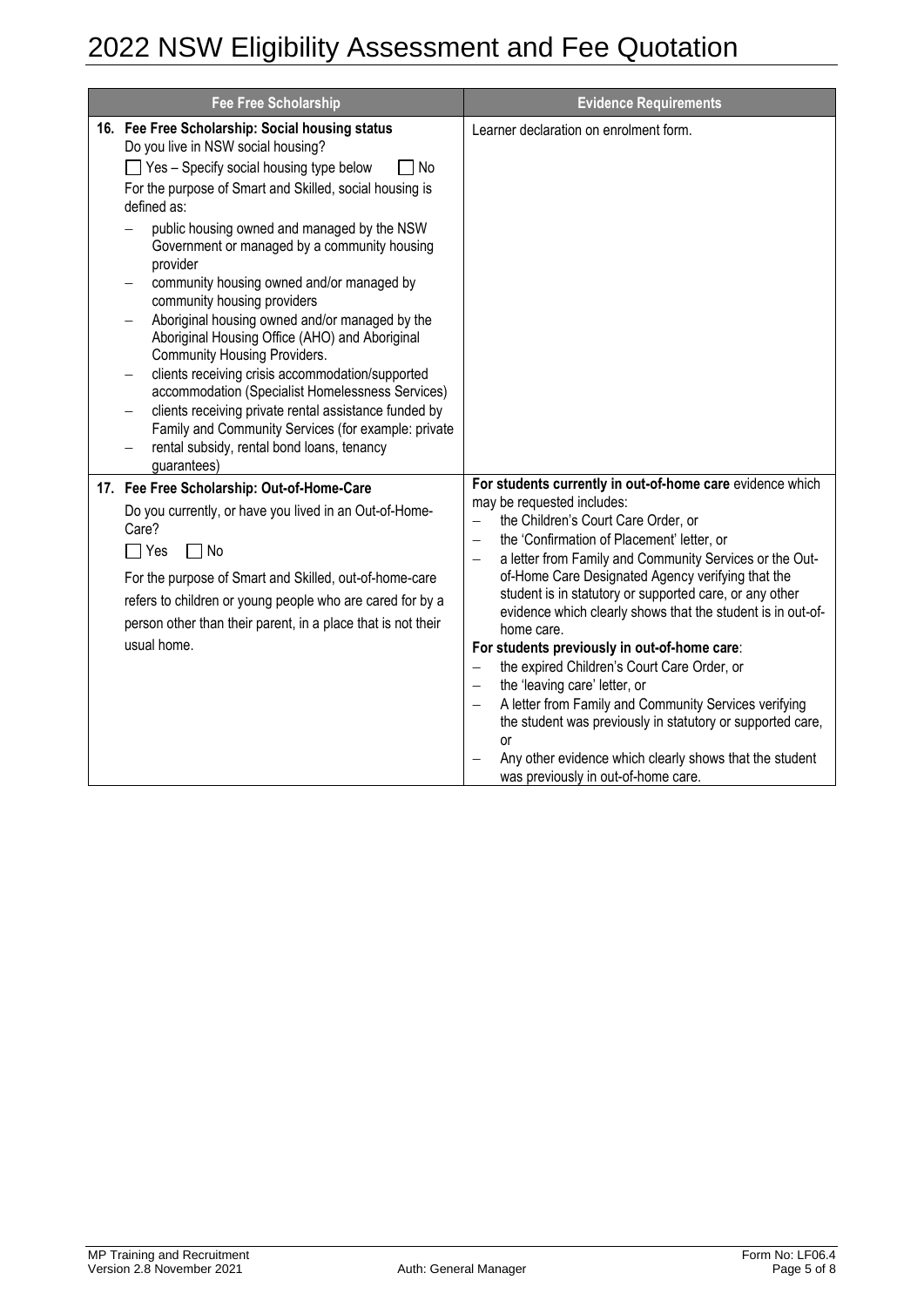| <b>Fee Free Scholarship</b>                                                                                                                                                                                                                                                                                                                                                                                                                                                                                                                                                                                                                                                                                                                                                                                         | <b>Evidence Requirements</b>                                                                                                                                                                                                                                                                                                                                                                                                                                                                                                                                                                                                                                                                                                                                                                                                                                                                                        |
|---------------------------------------------------------------------------------------------------------------------------------------------------------------------------------------------------------------------------------------------------------------------------------------------------------------------------------------------------------------------------------------------------------------------------------------------------------------------------------------------------------------------------------------------------------------------------------------------------------------------------------------------------------------------------------------------------------------------------------------------------------------------------------------------------------------------|---------------------------------------------------------------------------------------------------------------------------------------------------------------------------------------------------------------------------------------------------------------------------------------------------------------------------------------------------------------------------------------------------------------------------------------------------------------------------------------------------------------------------------------------------------------------------------------------------------------------------------------------------------------------------------------------------------------------------------------------------------------------------------------------------------------------------------------------------------------------------------------------------------------------|
| 16. Fee Free Scholarship: Social housing status<br>Do you live in NSW social housing?<br>□ Yes - Specify social housing type below<br>No<br>For the purpose of Smart and Skilled, social housing is<br>defined as:<br>public housing owned and managed by the NSW<br>Government or managed by a community housing<br>provider<br>community housing owned and/or managed by<br>community housing providers<br>Aboriginal housing owned and/or managed by the<br>Aboriginal Housing Office (AHO) and Aboriginal<br>Community Housing Providers.<br>clients receiving crisis accommodation/supported<br>accommodation (Specialist Homelessness Services)<br>clients receiving private rental assistance funded by<br>Family and Community Services (for example: private<br>rental subsidy, rental bond loans, tenancy | Learner declaration on enrolment form.                                                                                                                                                                                                                                                                                                                                                                                                                                                                                                                                                                                                                                                                                                                                                                                                                                                                              |
| guarantees)<br>17. Fee Free Scholarship: Out-of-Home-Care<br>Do you currently, or have you lived in an Out-of-Home-<br>Care?<br>$\Box$ Yes<br>$\Box$ No<br>For the purpose of Smart and Skilled, out-of-home-care<br>refers to children or young people who are cared for by a<br>person other than their parent, in a place that is not their<br>usual home.                                                                                                                                                                                                                                                                                                                                                                                                                                                       | For students currently in out-of-home care evidence which<br>may be requested includes:<br>the Children's Court Care Order, or<br>$\overline{\phantom{0}}$<br>the 'Confirmation of Placement' letter, or<br>$\overline{\phantom{0}}$<br>a letter from Family and Community Services or the Out-<br>of-Home Care Designated Agency verifying that the<br>student is in statutory or supported care, or any other<br>evidence which clearly shows that the student is in out-of-<br>home care.<br>For students previously in out-of-home care:<br>the expired Children's Court Care Order, or<br>$\overline{\phantom{0}}$<br>the 'leaving care' letter, or<br>$\overline{\phantom{0}}$<br>A letter from Family and Community Services verifying<br>the student was previously in statutory or supported care,<br>or<br>Any other evidence which clearly shows that the student<br>was previously in out-of-home care. |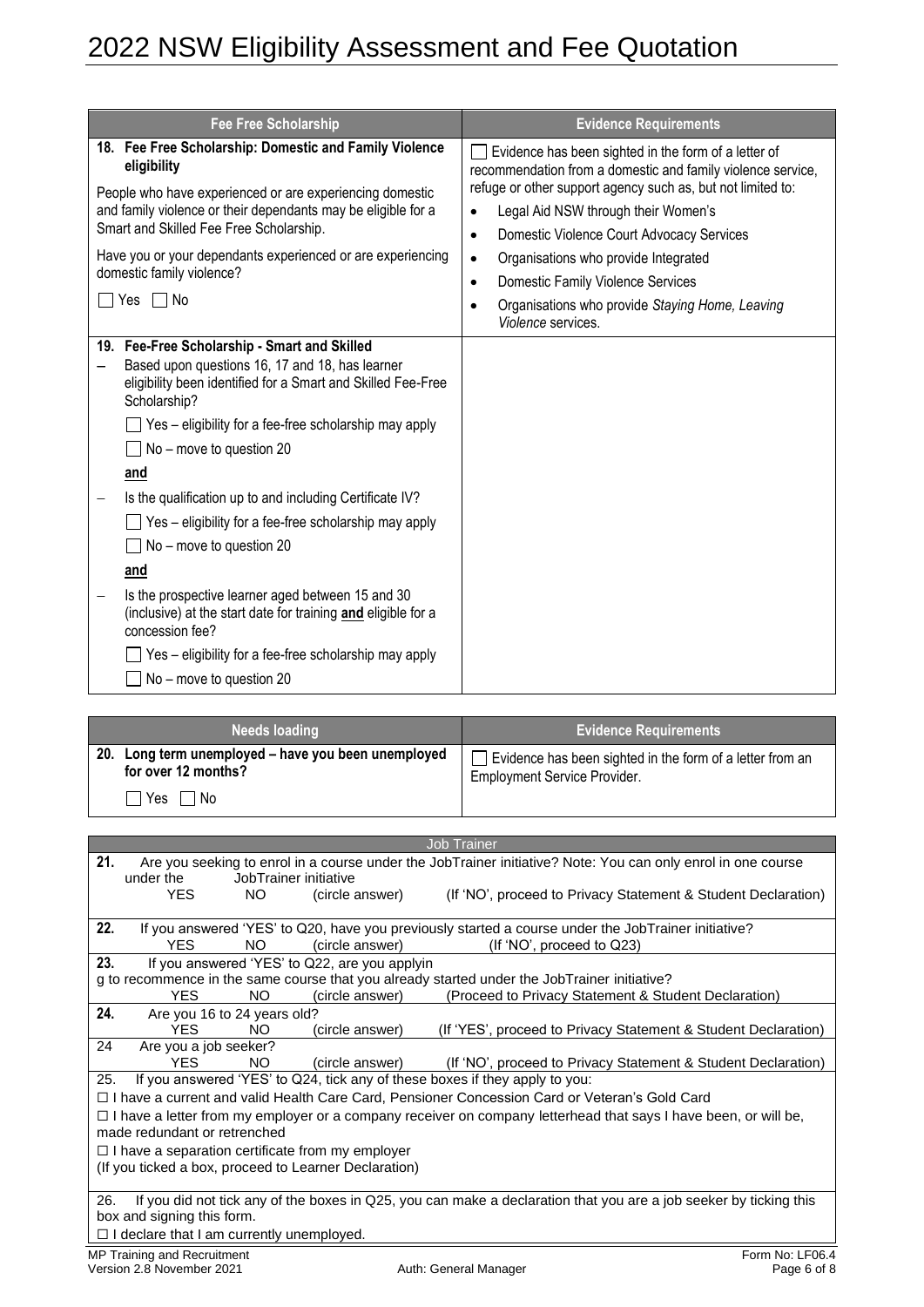| <b>Fee Free Scholarship</b>                                                                                                                                                                                                                                                                                                                                                                                                                                                                                                                                                                                                                                                                           | <b>Evidence Requirements</b>                                                                                                                                                                                                                                                                                                                                                                                                                                                                  |
|-------------------------------------------------------------------------------------------------------------------------------------------------------------------------------------------------------------------------------------------------------------------------------------------------------------------------------------------------------------------------------------------------------------------------------------------------------------------------------------------------------------------------------------------------------------------------------------------------------------------------------------------------------------------------------------------------------|-----------------------------------------------------------------------------------------------------------------------------------------------------------------------------------------------------------------------------------------------------------------------------------------------------------------------------------------------------------------------------------------------------------------------------------------------------------------------------------------------|
| 18. Fee Free Scholarship: Domestic and Family Violence<br>eligibility<br>People who have experienced or are experiencing domestic<br>and family violence or their dependants may be eligible for a<br>Smart and Skilled Fee Free Scholarship.<br>Have you or your dependants experienced or are experiencing<br>domestic family violence?<br>$\Box$ No<br>Yes                                                                                                                                                                                                                                                                                                                                         | Evidence has been sighted in the form of a letter of<br>recommendation from a domestic and family violence service,<br>refuge or other support agency such as, but not limited to:<br>Legal Aid NSW through their Women's<br>$\bullet$<br>Domestic Violence Court Advocacy Services<br>$\bullet$<br>Organisations who provide Integrated<br>$\bullet$<br>Domestic Family Violence Services<br>$\bullet$<br>Organisations who provide Staying Home, Leaving<br>$\bullet$<br>Violence services. |
| 19. Fee-Free Scholarship - Smart and Skilled<br>Based upon questions 16, 17 and 18, has learner<br>eligibility been identified for a Smart and Skilled Fee-Free<br>Scholarship?<br>Yes - eligibility for a fee-free scholarship may apply<br>No - move to question 20<br>and<br>Is the qualification up to and including Certificate IV?<br>$\overline{\phantom{0}}$<br>Yes - eligibility for a fee-free scholarship may apply<br>No - move to question 20<br>and<br>Is the prospective learner aged between 15 and 30<br>-<br>(inclusive) at the start date for training and eligible for a<br>concession fee?<br>Yes - eligibility for a fee-free scholarship may apply<br>No - move to question 20 |                                                                                                                                                                                                                                                                                                                                                                                                                                                                                               |

| <b>Needs loading</b>                                                            | <b>Evidence Requirements</b>                                                                     |
|---------------------------------------------------------------------------------|--------------------------------------------------------------------------------------------------|
| - 20.<br>Long term unemployed – have you been unemployed<br>for over 12 months? | Evidence has been sighted in the form of a letter from an<br><b>Employment Service Provider.</b> |
| <b>Yes</b><br>l No                                                              |                                                                                                  |

|     |                                                                                                                   |     |                                                         | <b>Job Trainer</b>                                                                                                     |                 |  |  |  |
|-----|-------------------------------------------------------------------------------------------------------------------|-----|---------------------------------------------------------|------------------------------------------------------------------------------------------------------------------------|-----------------|--|--|--|
| 21. |                                                                                                                   |     |                                                         | Are you seeking to enrol in a course under the JobTrainer initiative? Note: You can only enrol in one course           |                 |  |  |  |
|     | under the                                                                                                         |     | JobTrainer initiative                                   |                                                                                                                        |                 |  |  |  |
|     | YES.                                                                                                              | NO. | (circle answer)                                         | (If 'NO', proceed to Privacy Statement & Student Declaration)                                                          |                 |  |  |  |
|     |                                                                                                                   |     |                                                         |                                                                                                                        |                 |  |  |  |
| 22. |                                                                                                                   |     |                                                         | If you answered 'YES' to Q20, have you previously started a course under the JobTrainer initiative?                    |                 |  |  |  |
|     | <b>YES</b>                                                                                                        | NO. | (circle answer)                                         | (If 'NO', proceed to Q23)                                                                                              |                 |  |  |  |
| 23. |                                                                                                                   |     | If you answered 'YES' to Q22, are you applyin           |                                                                                                                        |                 |  |  |  |
|     |                                                                                                                   |     |                                                         | g to recommence in the same course that you already started under the JobTrainer initiative?                           |                 |  |  |  |
|     | <b>YFS</b>                                                                                                        | NO. | (circle answer)                                         | (Proceed to Privacy Statement & Student Declaration)                                                                   |                 |  |  |  |
| 24. | Are you 16 to 24 years old?                                                                                       |     |                                                         |                                                                                                                        |                 |  |  |  |
|     | YES                                                                                                               | NO. | (circle answer)                                         | (If 'YES', proceed to Privacy Statement & Student Declaration)                                                         |                 |  |  |  |
| 24  | Are you a job seeker?                                                                                             |     |                                                         |                                                                                                                        |                 |  |  |  |
|     | YFS.                                                                                                              | NO. | (circle answer)                                         | (If 'NO', proceed to Privacy Statement & Student Declaration)                                                          |                 |  |  |  |
| 25. |                                                                                                                   |     |                                                         | If you answered 'YES' to Q24, tick any of these boxes if they apply to you:                                            |                 |  |  |  |
|     |                                                                                                                   |     |                                                         | □ I have a current and valid Health Care Card, Pensioner Concession Card or Veteran's Gold Card                        |                 |  |  |  |
|     |                                                                                                                   |     |                                                         | $\Box$ I have a letter from my employer or a company receiver on company letterhead that says I have been, or will be, |                 |  |  |  |
|     | made redundant or retrenched                                                                                      |     |                                                         |                                                                                                                        |                 |  |  |  |
|     |                                                                                                                   |     | $\Box$ I have a separation certificate from my employer |                                                                                                                        |                 |  |  |  |
|     |                                                                                                                   |     | (If you ticked a box, proceed to Learner Declaration)   |                                                                                                                        |                 |  |  |  |
|     |                                                                                                                   |     |                                                         |                                                                                                                        |                 |  |  |  |
| 26. | If you did not tick any of the boxes in Q25, you can make a declaration that you are a job seeker by ticking this |     |                                                         |                                                                                                                        |                 |  |  |  |
|     | box and signing this form.                                                                                        |     |                                                         |                                                                                                                        |                 |  |  |  |
|     | $\Box$ I declare that I am currently unemployed.                                                                  |     |                                                         |                                                                                                                        |                 |  |  |  |
|     | MP Training and Recruitment                                                                                       |     |                                                         |                                                                                                                        | Form No: LF06.4 |  |  |  |
|     | Version 2.8 November 2021                                                                                         |     |                                                         | Auth: General Manager                                                                                                  | Page 6 of 8     |  |  |  |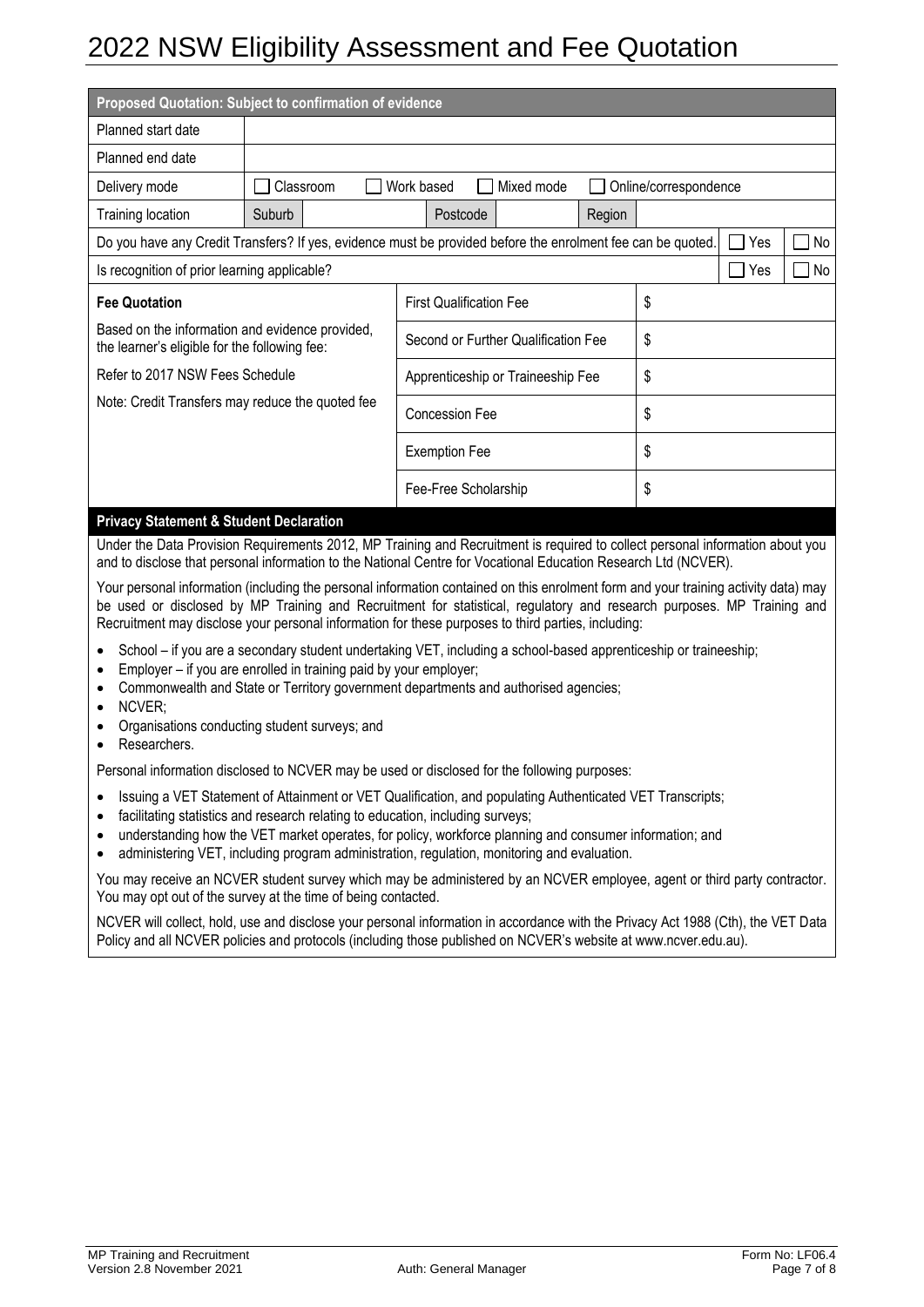| Proposed Quotation: Subject to confirmation of evidence                                          |           |                                                                                                             |        |                       |       |               |  |
|--------------------------------------------------------------------------------------------------|-----------|-------------------------------------------------------------------------------------------------------------|--------|-----------------------|-------|---------------|--|
| Planned start date                                                                               |           |                                                                                                             |        |                       |       |               |  |
| Planned end date                                                                                 |           |                                                                                                             |        |                       |       |               |  |
| Delivery mode                                                                                    | Classroom | Mixed mode<br>Work based                                                                                    |        | Online/correspondence |       |               |  |
| Training location                                                                                | Suburb    | Postcode                                                                                                    | Region |                       |       |               |  |
|                                                                                                  |           | Do you have any Credit Transfers? If yes, evidence must be provided before the enrolment fee can be quoted. |        |                       | Yes   | No<br>$\perp$ |  |
| Is recognition of prior learning applicable?                                                     |           |                                                                                                             |        |                       | ∣∣Yes | $\Box$ No     |  |
| <b>Fee Quotation</b>                                                                             |           | <b>First Qualification Fee</b>                                                                              | \$     |                       |       |               |  |
| Based on the information and evidence provided,<br>the learner's eligible for the following fee: |           | Second or Further Qualification Fee                                                                         | \$     |                       |       |               |  |
| Refer to 2017 NSW Fees Schedule                                                                  |           | Apprenticeship or Traineeship Fee                                                                           | \$     |                       |       |               |  |
| Note: Credit Transfers may reduce the quoted fee                                                 |           | <b>Concession Fee</b>                                                                                       |        | \$                    |       |               |  |
|                                                                                                  |           | <b>Exemption Fee</b>                                                                                        |        | \$                    |       |               |  |
|                                                                                                  |           | Fee-Free Scholarship                                                                                        |        | \$                    |       |               |  |
| <b>Privacy Statement &amp; Student Declaration</b>                                               |           |                                                                                                             |        |                       |       |               |  |

Under the Data Provision Requirements 2012, MP Training and Recruitment is required to collect personal information about you and to disclose that personal information to the National Centre for Vocational Education Research Ltd (NCVER).

Your personal information (including the personal information contained on this enrolment form and your training activity data) may be used or disclosed by MP Training and Recruitment for statistical, regulatory and research purposes. MP Training and Recruitment may disclose your personal information for these purposes to third parties, including:

- School if you are a secondary student undertaking VET, including a school-based apprenticeship or traineeship;
- Employer if you are enrolled in training paid by your employer;
- Commonwealth and State or Territory government departments and authorised agencies;
- NCVER;
- Organisations conducting student surveys; and
- Researchers.

Personal information disclosed to NCVER may be used or disclosed for the following purposes:

- Issuing a VET Statement of Attainment or VET Qualification, and populating Authenticated VET Transcripts;
- facilitating statistics and research relating to education, including surveys;
- understanding how the VET market operates, for policy, workforce planning and consumer information; and
- administering VET, including program administration, regulation, monitoring and evaluation.

You may receive an NCVER student survey which may be administered by an NCVER employee, agent or third party contractor. You may opt out of the survey at the time of being contacted.

NCVER will collect, hold, use and disclose your personal information in accordance with the Privacy Act 1988 (Cth), the VET Data Policy and all NCVER policies and protocols (including those published on NCVER's website at www.ncver.edu.au).